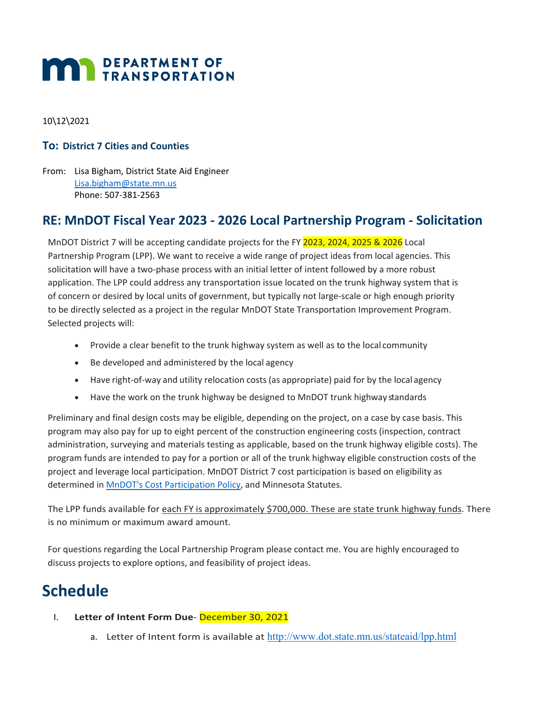# **MAY DEPARTMENT OF TRANSPORTATION**

10\12\2021

### **To: District 7 Cities and Counties**

From: Lisa Bigham, District State Aid Engineer [Lisa.bigham@state.mn.us](mailto:Lisa.bigham@state.mn.us) Phone: 507-381-2563

### **RE: MnDOT Fiscal Year 2023 ‐ 2026 Local Partnership Program ‐ Solicitation**

MnDOT District 7 will be accepting candidate projects for the FY 2023, 2024, 2025 & 2026 Local Partnership Program (LPP). We want to receive a wide range of project ideas from local agencies. This solicitation will have a two-phase process with an initial letter of intent followed by a more robust application. The LPP could address any transportation issue located on the trunk highway system that is of concern or desired by local units of government, but typically not large-scale or high enough priority to be directly selected as a project in the regular MnDOT State Transportation Improvement Program. Selected projects will:

- Provide a clear benefit to the trunk highway system as well as to the local community
- Be developed and administered by the local agency
- Have right-of-way and utility relocation costs (as appropriate) paid for by the local agency
- Have the work on the trunk highway be designed to MnDOT trunk highway standards

Preliminary and final design costs may be eligible, depending on the project, on a case by case basis. This program may also pay for up to eight percent of the construction engineering costs (inspection, contract administration, surveying and materials testing as applicable, based on the trunk highway eligible costs). The program funds are intended to pay for a portion or all of the trunk highway eligible construction costs of the project and leverage local participation. MnDOT District 7 cost participation is based on eligibility as determined in [MnDOT's Cost Participation Policy,](http://www.dot.state.mn.us/policy/financial/fm011.html) and Minnesota Statutes.

The LPP funds available for each FY is approximately \$700,000. These are state trunk highway funds. There is no minimum or maximum award amount.

For questions regarding the Local Partnership Program please contact me. You are highly encouraged to discuss projects to explore options, and feasibility of project ideas.

### **Schedule**

- I. **Letter of Intent Form Due** December 30, 2021
	- a. Letter of Intent form is available at <http://www.dot.state.mn.us/stateaid/lpp.html>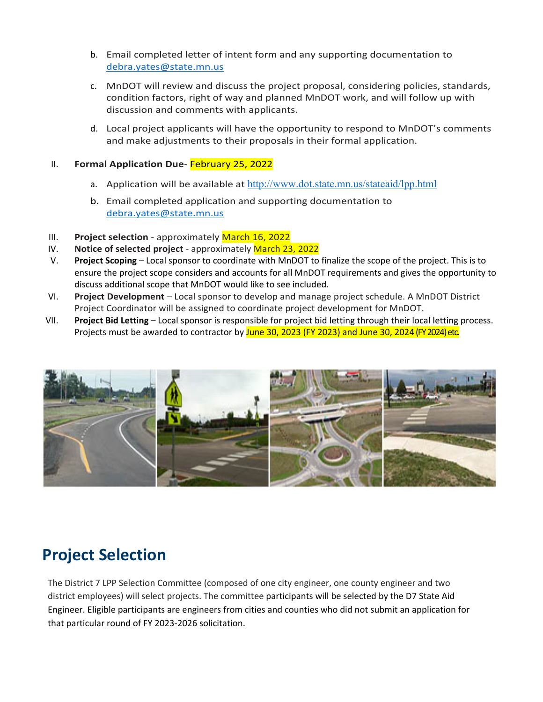- b. Email completed letter of intent form and any supporting documentation to [debra.yates@state.mn.us](mailto:debra.yates@state.mn.us)
- c. MnDOT will review and discuss the project proposal, considering policies, standards, condition factors, right of way and planned MnDOT work, and will follow up with discussion and comments with applicants.
- d. Local project applicants will have the opportunity to respond to MnDOT's comments and make adjustments to their proposals in their formal application.

#### II. **Formal Application Due**- February 25, 2022

- a. Application will be available at <http://www.dot.state.mn.us/stateaid/lpp.html>
- b. Email completed application and supporting documentation to [debra.yates@state.mn.us](mailto:debra.yates@state.mn.us)
- III. **Project selection** approximately March 16, 2022
- IV. **Notice of selected project** approximately March 23, 2022
- V. **Project Scoping** Local sponsor to coordinate with MnDOT to finalize the scope of the project. This is to ensure the project scope considers and accounts for all MnDOT requirements and gives the opportunity to discuss additional scope that MnDOT would like to see included.
- VI. **Project Development** Local sponsor to develop and manage project schedule. A MnDOT District Project Coordinator will be assigned to coordinate project development for MnDOT.
- VII. **Project Bid Letting** Local sponsor is responsible for project bid letting through their local letting process. Projects must be awarded to contractor by June 30, 2023 (FY 2023) and June 30, 2024 (FY 2024) etc.



## **Project Selection**

The District 7 LPP Selection Committee (composed of one city engineer, one county engineer and two district employees) will select projects. The committee participants will be selected by the D7 State Aid Engineer. Eligible participants are engineers from cities and counties who did not submit an application for that particular round of FY 2023-2026 solicitation.